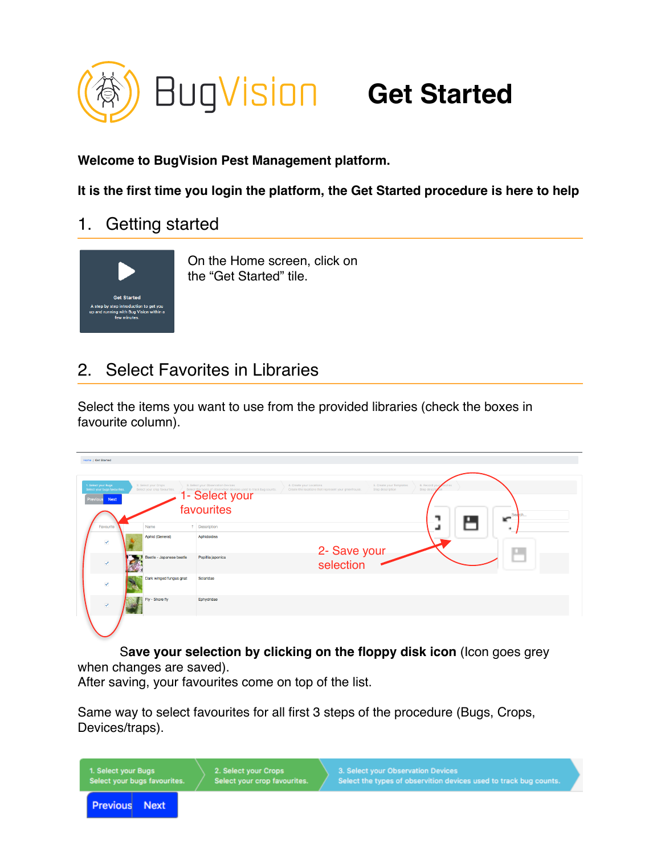

**Welcome to BugVision Pest Management platform.**

**It is the first time you login the platform, the Get Started procedure is here to help**

1. Getting started



On the Home screen, click on the "Get Started" tile.

## 2. Select Favorites in Libraries

Select the items you want to use from the provided libraries (check the boxes in favourite column).

|  | <b>Home / Get Started</b>                                       |           |                                                      |                                                                                                                           |                                                                                  |                                              |                              |   |  |  |
|--|-----------------------------------------------------------------|-----------|------------------------------------------------------|---------------------------------------------------------------------------------------------------------------------------|----------------------------------------------------------------------------------|----------------------------------------------|------------------------------|---|--|--|
|  |                                                                 |           |                                                      |                                                                                                                           |                                                                                  |                                              |                              |   |  |  |
|  | 1. Select your Bugs<br>Select your bugs favourites.<br>Previous | Next      | 2. Select your Crops<br>Select your crop favourites. | 3. Select your Observation Devices<br>Select the types of observition devices used to track bug counts.<br>1- Select your | 4. Create your Locations<br>Create the locations that represent your greenhouse. | 5. Create your Templates<br>Step description | 6. Record you<br>Step descri |   |  |  |
|  |                                                                 |           |                                                      | favourites                                                                                                                |                                                                                  |                                              | Sea ch                       |   |  |  |
|  |                                                                 | Favourite | Name                                                 | t Description                                                                                                             |                                                                                  |                                              |                              | ٠ |  |  |
|  | $\checkmark$                                                    |           | Aphid (General)                                      | Aphidoidea                                                                                                                |                                                                                  |                                              |                              |   |  |  |
|  | $\overline{\mathsf{v}}$                                         |           | Beetle - Japanese beetle                             | Popillia japonica                                                                                                         |                                                                                  | 2- Save your<br>selection                    |                              |   |  |  |
|  | $\checkmark$                                                    |           | Dark winged fungus gnat                              | Sciaridae                                                                                                                 |                                                                                  |                                              |                              |   |  |  |
|  | $\overline{\mathbf{v}}$                                         |           | Fly - Shore fly                                      | Ephydridae                                                                                                                |                                                                                  |                                              |                              |   |  |  |
|  |                                                                 |           |                                                      |                                                                                                                           |                                                                                  |                                              |                              |   |  |  |

S**ave your selection by clicking on the floppy disk icon** (Icon goes grey when changes are saved).

After saving, your favourites come on top of the list.

Same way to select favourites for all first 3 steps of the procedure (Bugs, Crops, Devices/traps).

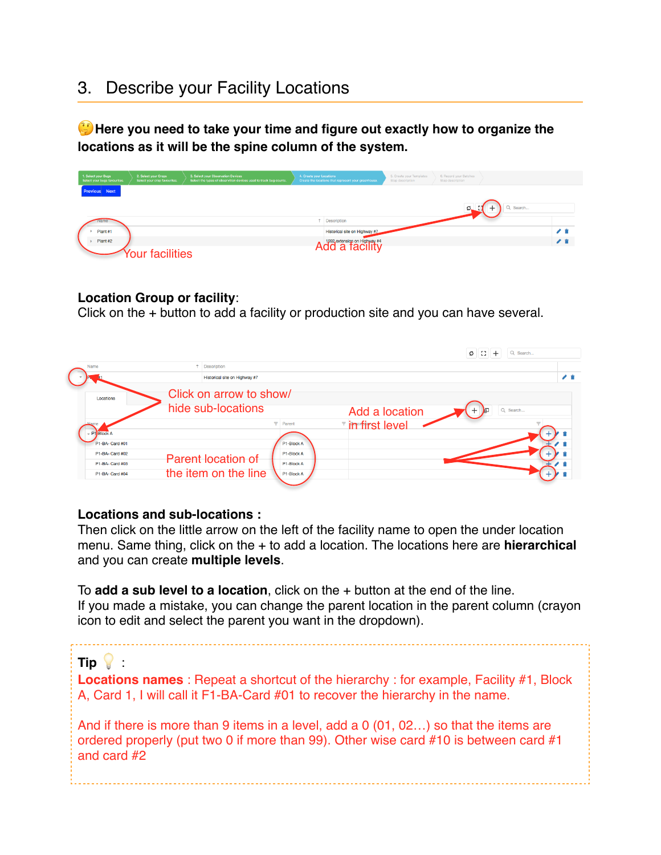## 3. Describe your Facility Locations

**Here you need to take your time and figure out exactly how to organize the locations as it will be the spine column of the system.**

| 1. Select your Bugs<br>Select your bugs favourites. | 2. Select your Crops<br>Select your crop favourites. | 3. Select your Observation Devices<br>Select the types of observition devices used to track bug counts. | 4. Create your Locations | Create the locations that represent your greenhouse. | 5. Create your Templates<br>Step description | 6. Record your Batches<br>Step description |          |     |
|-----------------------------------------------------|------------------------------------------------------|---------------------------------------------------------------------------------------------------------|--------------------------|------------------------------------------------------|----------------------------------------------|--------------------------------------------|----------|-----|
| <b>Previous</b> Next                                |                                                      |                                                                                                         |                          |                                                      |                                              |                                            |          |     |
|                                                     |                                                      |                                                                                                         |                          |                                                      |                                              | ø.                                         | Q Search |     |
|                                                     |                                                      |                                                                                                         |                          | 1 Description                                        |                                              |                                            |          |     |
| Plant #1                                            |                                                      |                                                                                                         |                          | Historical site on Highway #7                        |                                              |                                            |          | ✔ 章 |
| Plant #2                                            |                                                      |                                                                                                         |                          | Add a facility                                       |                                              |                                            |          | ╱ 官 |
|                                                     | <b>Our facilities</b>                                |                                                                                                         |                          |                                                      |                                              |                                            |          |     |

#### **Location Group or facility**:

Click on the + button to add a facility or production site and you can have several.

|                                      |                                               |                          |                | ø<br>43<br>Q Search |    |
|--------------------------------------|-----------------------------------------------|--------------------------|----------------|---------------------|----|
| Name                                 | <b>Description</b>                            |                          |                |                     |    |
|                                      | Historical site on Highway #7                 |                          |                |                     | 才官 |
| Locations                            | Click on arrow to show/<br>hide sub-locations |                          | Add a location | Q Search<br>汩       |    |
| $-$ P1 $B$ lock A<br>P1-BA- Card #01 |                                               | Parent<br>P1-Block A     | in first level |                     |    |
| P1-BA- Card #02                      | Parent location of                            | P1-Block A               |                |                     |    |
| P1-BA- Card #03<br>P1-BA- Card #04   | the item on the line                          | P1-Block A<br>P1-Block A |                |                     |    |
|                                      |                                               |                          |                |                     |    |

#### **Locations and sub-locations :**

Then click on the little arrow on the left of the facility name to open the under location menu. Same thing, click on the + to add a location. The locations here are **hierarchical**  and you can create **multiple levels**.

To **add a sub level to a location**, click on the + button at the end of the line. If you made a mistake, you can change the parent location in the parent column (crayon icon to edit and select the parent you want in the dropdown).

#### **Tip**  :

**Locations names** : Repeat a shortcut of the hierarchy : for example, Facility #1, Block A, Card 1, I will call it F1-BA-Card #01 to recover the hierarchy in the name.

And if there is more than 9 items in a level, add a 0 (01, 02…) so that the items are ordered properly (put two 0 if more than 99). Other wise card #10 is between card #1 and card #2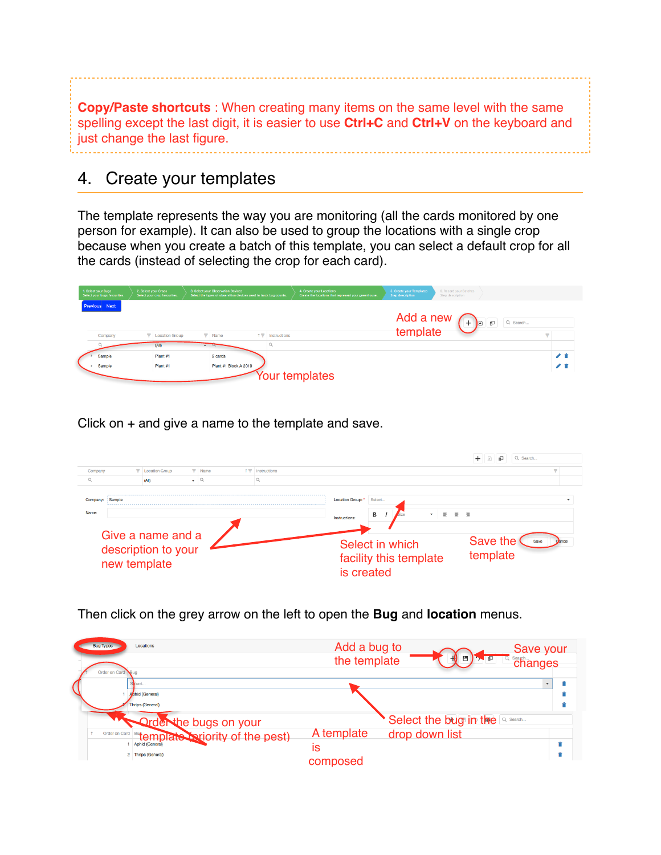**Copy/Paste shortcuts** : When creating many items on the same level with the same spelling except the last digit, it is easier to use **Ctrl+C** and **Ctrl+V** on the keyboard and just change the last figure.

## 4. Create your templates

The template represents the way you are monitoring (all the cards monitored by one person for example). It can also be used to group the locations with a single crop because when you create a batch of this template, you can select a default crop for all the cards (instead of selecting the crop for each card).

| 1. Select your Bugs<br>Select your bugs favourites. | 2. Select your Crops<br>Select your crop favourites. | 3. Select your Observation Devices<br>Select the types of observition devices used to track bug counts. |            |              | 4. Create your Locations<br>Create the locations that represent your greenhouse. | <b>5. Create your Templates</b><br>Step description | 6. Record your Batches<br>Step description                                         |          |     |
|-----------------------------------------------------|------------------------------------------------------|---------------------------------------------------------------------------------------------------------|------------|--------------|----------------------------------------------------------------------------------|-----------------------------------------------------|------------------------------------------------------------------------------------|----------|-----|
| <b>Previous</b> Next                                |                                                      |                                                                                                         |            |              |                                                                                  |                                                     | Add a new $\left(\frac{1}{2}\right)$<br>template<br>一印<br>$\mathbb{R}$<br>Q Search |          |     |
| Company                                             | <b>T</b> Location Group                              | $\blacktriangledown$ Name                                                                               | $+ \nabla$ | Instructions |                                                                                  |                                                     |                                                                                    | $\equiv$ |     |
|                                                     | (A)                                                  | $\sqrt{2}$                                                                                              |            |              |                                                                                  |                                                     |                                                                                    |          |     |
| Sample                                              | Plant #1                                             | 2 cards                                                                                                 |            |              |                                                                                  |                                                     |                                                                                    |          | { } |
| Sample                                              | Plant #1                                             | Plant #1 Block A 2019                                                                                   |            |              |                                                                                  |                                                     |                                                                                    |          |     |
|                                                     |                                                      |                                                                                                         |            |              | Your templates                                                                   |                                                     |                                                                                    |          |     |

Click on + and give a name to the template and save.

| Company                                                  |        |       | $\overline{\phantom{a}}$<br><b>Exercise</b> Group | $+ -$<br>Name | Instructions                                                                            |                                                            |
|----------------------------------------------------------|--------|-------|---------------------------------------------------|---------------|-----------------------------------------------------------------------------------------|------------------------------------------------------------|
|                                                          |        | (AII) | ۰                                                 |               |                                                                                         |                                                            |
| Company:                                                 | Sample |       |                                                   |               |                                                                                         | <b>Location Group:</b><br>Select                           |
| Name:                                                    |        |       |                                                   |               |                                                                                         | в<br>三 三<br>゠<br>$\overline{\phantom{a}}$<br>Instructions: |
| Give a name and a<br>description to your<br>new template |        |       |                                                   |               | Save the<br>Save<br>Select in which<br>template<br>facility this template<br>is created |                                                            |

Then click on the grey arrow on the left to open the **Bug** and **location** menus.

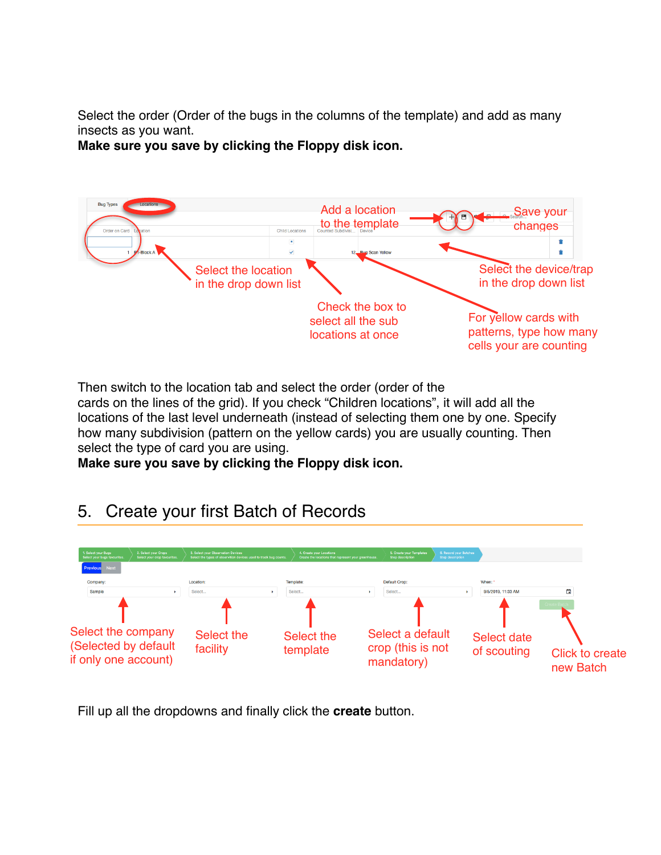Select the order (Order of the bugs in the columns of the template) and add as many insects as you want.

**Make sure you save by clicking the Floppy disk icon.**



Then switch to the location tab and select the order (order of the

cards on the lines of the grid). If you check "Children locations", it will add all the locations of the last level underneath (instead of selecting them one by one. Specify how many subdivision (pattern on the yellow cards) you are usually counting. Then select the type of card you are using.

**Make sure you save by clicking the Floppy disk icon.**

# 5. Create your first Batch of Records



Fill up all the dropdowns and finally click the **create** button.